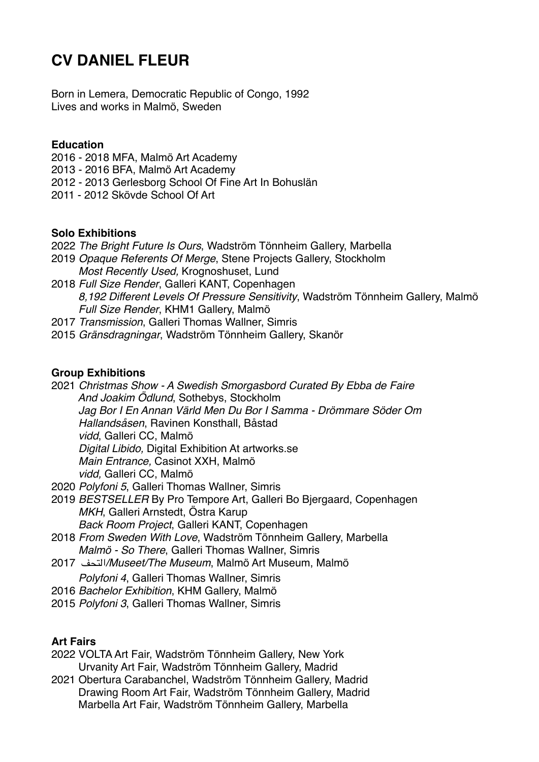# **CV DANIEL FLEUR**

Born in Lemera, Democratic Republic of Congo, 1992 Lives and works in Malmö, Sweden

#### **Education**

- 2016 2018 MFA, Malmö Art Academy
- 2013 2016 BFA, Malmö Art Academy
- 2012 2013 Gerlesborg School Of Fine Art In Bohuslän
- 2011 2012 Skövde School Of Art

## **Solo Exhibitions**

- 2022 *The Bright Future Is Ours*, Wadström Tönnheim Gallery, Marbella
- 2019 *Opaque Referents Of Merge*, Stene Projects Gallery, Stockholm *Most Recently Used,* Krognoshuset, Lund
- 2018 *Full Size Render*, Galleri KANT, Copenhagen *8,192 Different Levels Of Pressure Sensitivity*, Wadström Tönnheim Gallery, Malmö *Full Size Render*, KHM1 Gallery, Malmö
- 2017 *Transmission*, Galleri Thomas Wallner, Simris
- 2015 *Gränsdragningar*, Wadström Tönnheim Gallery, Skanör

## **Group Exhibitions**

- 2021 *Christmas Show A Swedish Smorgasbord Curated By Ebba de Faire And Joakim Ödlund*, Sothebys, Stockholm *Jag Bor I En Annan Värld Men Du Bor I Samma - Drömmare Söder Om Hallandsåsen*, Ravinen Konsthall, Båstad *vidd*, Galleri CC, Malmö *Digital Libido,* Digital Exhibition At artworks.se *Main Entrance,* Casinot XXH, Malmö *vidd,* Galleri CC, Malmö
- 2020 *Polyfoni 5*, Galleri Thomas Wallner, Simris
- 2019 *BESTSELLER* By Pro Tempore Art, Galleri Bo Bjergaard, Copenhagen *MKH*, Galleri Arnstedt, Östra Karup *Back Room Project*, Galleri KANT, Copenhagen
- 2018 *From Sweden With Love*, Wadström Tönnheim Gallery, Marbella *Malmö - So There*, Galleri Thomas Wallner, Simris
- 2017 التحف*/Museet/The Museum*, Malmö Art Museum, Malmö
	- *Polyfoni 4*, Galleri Thomas Wallner, Simris
- 2016 *Bachelor Exhibition*, KHM Gallery, Malmö
- 2015 *Polyfoni 3*, Galleri Thomas Wallner, Simris

## **Art Fairs**

- 2022 VOLTA Art Fair, Wadström Tönnheim Gallery, New York Urvanity Art Fair, Wadström Tönnheim Gallery, Madrid
- 2021 Obertura Carabanchel, Wadström Tönnheim Gallery, Madrid Drawing Room Art Fair, Wadström Tönnheim Gallery, Madrid Marbella Art Fair, Wadström Tönnheim Gallery, Marbella